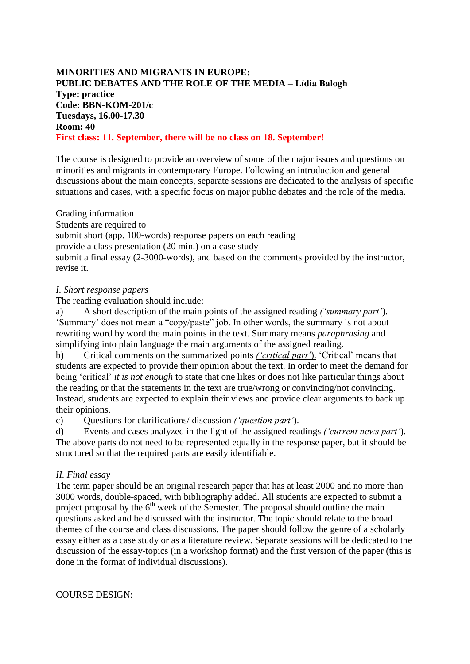## **MINORITIES AND MIGRANTS IN EUROPE: PUBLIC DEBATES AND THE ROLE OF THE MEDIA – Lídia Balogh Type: practice Code: BBN-KOM-201/c Tuesdays, 16.00-17.30 Room: 40 First class: 11. September, there will be no class on 18. September!**

The course is designed to provide an overview of some of the major issues and questions on minorities and migrants in contemporary Europe. Following an introduction and general discussions about the main concepts, separate sessions are dedicated to the analysis of specific situations and cases, with a specific focus on major public debates and the role of the media.

#### Grading information

Students are required to

submit short (app. 100-words) response papers on each reading

provide a class presentation (20 min.) on a case study

submit a final essay (2-3000-words), and based on the comments provided by the instructor, revise it.

## *I. Short response papers*

The reading evaluation should include:

a) A short description of the main points of the assigned reading *('summary part'*). 'Summary' does not mean a "copy/paste" job. In other words, the summary is not about rewriting word by word the main points in the text. Summary means *paraphrasing* and simplifying into plain language the main arguments of the assigned reading.

b) Critical comments on the summarized points *('critical part'*). 'Critical' means that students are expected to provide their opinion about the text. In order to meet the demand for being 'critical' *it is not enough* to state that one likes or does not like particular things about the reading or that the statements in the text are true/wrong or convincing/not convincing. Instead, students are expected to explain their views and provide clear arguments to back up their opinions.

c) Questions for clarifications/ discussion *('question part'*).

d) Events and cases analyzed in the light of the assigned readings *('current news part'*). The above parts do not need to be represented equally in the response paper, but it should be structured so that the required parts are easily identifiable.

# *II. Final essay*

The term paper should be an original research paper that has at least 2000 and no more than 3000 words, double-spaced, with bibliography added. All students are expected to submit a project proposal by the  $6<sup>th</sup>$  week of the Semester. The proposal should outline the main questions asked and be discussed with the instructor. The topic should relate to the broad themes of the course and class discussions. The paper should follow the genre of a scholarly essay either as a case study or as a literature review. Separate sessions will be dedicated to the discussion of the essay-topics (in a workshop format) and the first version of the paper (this is done in the format of individual discussions).

### COURSE DESIGN: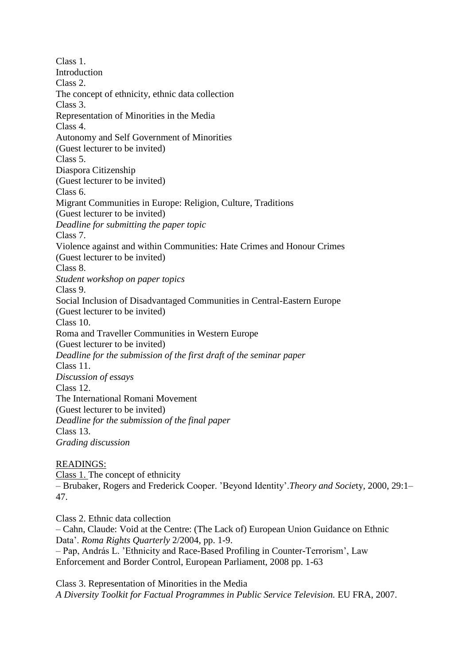Class 1. **Introduction** Class 2. The concept of ethnicity, ethnic data collection Class 3. Representation of Minorities in the Media Class 4. Autonomy and Self Government of Minorities (Guest lecturer to be invited) Class 5. Diaspora Citizenship (Guest lecturer to be invited) Class 6. Migrant Communities in Europe: Religion, Culture, Traditions (Guest lecturer to be invited) *Deadline for submitting the paper topic* Class 7. Violence against and within Communities: Hate Crimes and Honour Crimes (Guest lecturer to be invited) Class 8. *Student workshop on paper topics* Class 9. Social Inclusion of Disadvantaged Communities in Central-Eastern Europe (Guest lecturer to be invited) Class 10. Roma and Traveller Communities in Western Europe (Guest lecturer to be invited) *Deadline for the submission of the first draft of the seminar paper* Class 11. *Discussion of essays* Class 12. The International Romani Movement (Guest lecturer to be invited) *Deadline for the submission of the final paper* Class 13. *Grading discussion*

### READINGS:

Class 1. The concept of ethnicity – Brubaker, Rogers and Frederick Cooper. 'Beyond Identity'.*Theory and Socie*ty, 2000, 29:1– 47.

Class 2. Ethnic data collection – Cahn, Claude: Void at the Centre: (The Lack of) European Union Guidance on Ethnic Data'. *Roma Rights Quarterly* 2/2004, pp. 1-9. – Pap, András L. 'Ethnicity and Race-Based Profiling in Counter-Terrorism', Law Enforcement and Border Control, European Parliament, 2008 pp. 1-63

Class 3. Representation of Minorities in the Media *A Diversity Toolkit for Factual Programmes in Public Service Television.* EU FRA, 2007.